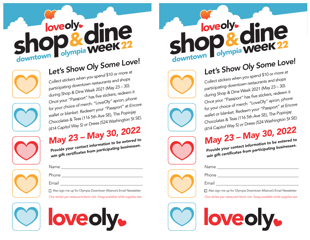## love oly. wntown olympi downtown **B 30**, **2022**











Collect stickers when you spend \$10 or more at participating downtown restaurants and shops during Shop & Dine Week 2021 (May 23 – 30). Once your "Passport" has five stickers, redeem it for your choice of merch: "LoveOly" apron, phone wallet or blanket. Redeem your "Passport" at Encore Let's Show Oly Some Love!

Chocolates & Teas (116 5th Ave SE), The Popinjay (414 Capitol Way S) or Drees (524 Washington St SE).

May 23 – May 30, 2022

Provide your contact information to be entered to win gift certificates from participating businesses.

| Name          |                      |                                           |  |                                                                                                             |  |
|---------------|----------------------|-------------------------------------------|--|-------------------------------------------------------------------------------------------------------------|--|
| Phone         |                      |                                           |  |                                                                                                             |  |
| Email         |                      |                                           |  |                                                                                                             |  |
| - 1<br>$\sim$ | $\epsilon$<br>$\sim$ | $\sim$ $\sim$ $\sim$ $\sim$ $\sim$ $\sim$ |  | $\mathbf{A} \mathbf{B}$ and $\mathbf{A} \mathbf{B}$ and $\mathbf{A} \mathbf{B}$ and $\mathbf{A} \mathbf{B}$ |  |

*One sticker per restaurant/store visit. Swag available while supplies last.* Also sign me up for Olympia Downtown Alliance's Email Newsletter













Shop **8 GILLS** downtown **B 30**, **2022** Collect stickers when you spend \$10 or more at participating downtown restaurants and shops during Shop & Dine Week 2021 (May 23 – 30). Once your "Passport" has five stickers, redeem it for your choice of merch: "LoveOly" apron, phone wallet or blanket. Redeem your "Passport" at Encore Chocolates & Teas (116 5th Ave SE), The Popinjay (414 Capitol Way S) or Drees (524 Washington St SE). Let's Show Oly Some Love! May 23 – May 30, 2022

loveoly.





Also sign me up for Olympia Downtown Alliance's Email Newsletter

Provide your contact information to be entered to win gift certificates from participating businesses.

*One sticker per restaurant/store visit. Swag available while supplies last.*